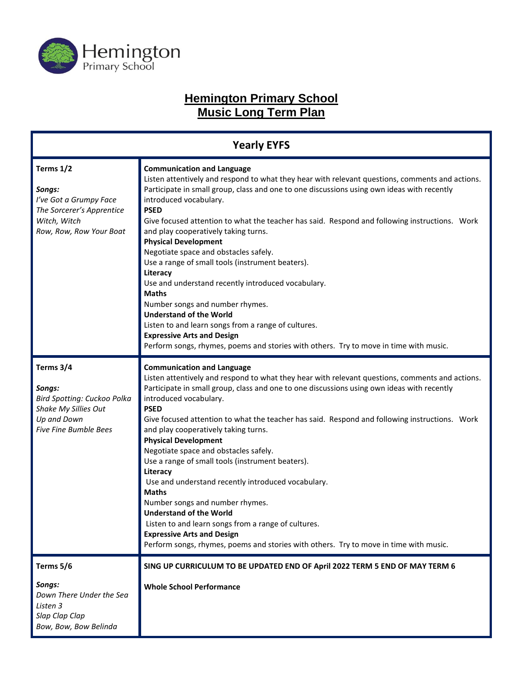

# **Hemington Primary School Music Long Term Plan**

| <b>Yearly EYFS</b>                                                                                                        |                                                                                                                                                                                                                                                                                                                                                                                                                                                                                                                                                                                                                                                                                                                                                                                                                                                                                              |  |
|---------------------------------------------------------------------------------------------------------------------------|----------------------------------------------------------------------------------------------------------------------------------------------------------------------------------------------------------------------------------------------------------------------------------------------------------------------------------------------------------------------------------------------------------------------------------------------------------------------------------------------------------------------------------------------------------------------------------------------------------------------------------------------------------------------------------------------------------------------------------------------------------------------------------------------------------------------------------------------------------------------------------------------|--|
| Terms 1/2<br>Songs:<br>I've Got a Grumpy Face<br>The Sorcerer's Apprentice<br>Witch, Witch<br>Row, Row, Row Your Boat     | <b>Communication and Language</b><br>Listen attentively and respond to what they hear with relevant questions, comments and actions.<br>Participate in small group, class and one to one discussions using own ideas with recently<br>introduced vocabulary.<br><b>PSED</b><br>Give focused attention to what the teacher has said. Respond and following instructions. Work<br>and play cooperatively taking turns.<br><b>Physical Development</b><br>Negotiate space and obstacles safely.<br>Use a range of small tools (instrument beaters).<br>Literacy<br>Use and understand recently introduced vocabulary.<br><b>Maths</b><br>Number songs and number rhymes.<br><b>Understand of the World</b><br>Listen to and learn songs from a range of cultures.<br><b>Expressive Arts and Design</b><br>Perform songs, rhymes, poems and stories with others. Try to move in time with music. |  |
| Terms 3/4<br>Songs:<br>Bird Spotting: Cuckoo Polka<br>Shake My Sillies Out<br>Up and Down<br><b>Five Fine Bumble Bees</b> | <b>Communication and Language</b><br>Listen attentively and respond to what they hear with relevant questions, comments and actions.<br>Participate in small group, class and one to one discussions using own ideas with recently<br>introduced vocabulary.<br><b>PSED</b><br>Give focused attention to what the teacher has said. Respond and following instructions. Work<br>and play cooperatively taking turns.<br><b>Physical Development</b><br>Negotiate space and obstacles safely.<br>Use a range of small tools (instrument beaters).<br>Literacy<br>Use and understand recently introduced vocabulary.<br><b>Maths</b><br>Number songs and number rhymes.<br><b>Understand of the World</b><br>Listen to and learn songs from a range of cultures.<br><b>Expressive Arts and Design</b><br>Perform songs, rhymes, poems and stories with others. Try to move in time with music. |  |
| Terms 5/6<br>Songs:<br>Down There Under the Sea<br>Listen 3<br>Slap Clap Clap<br>Bow, Bow, Bow Belinda                    | SING UP CURRICULUM TO BE UPDATED END OF April 2022 TERM 5 END OF MAY TERM 6<br><b>Whole School Performance</b>                                                                                                                                                                                                                                                                                                                                                                                                                                                                                                                                                                                                                                                                                                                                                                               |  |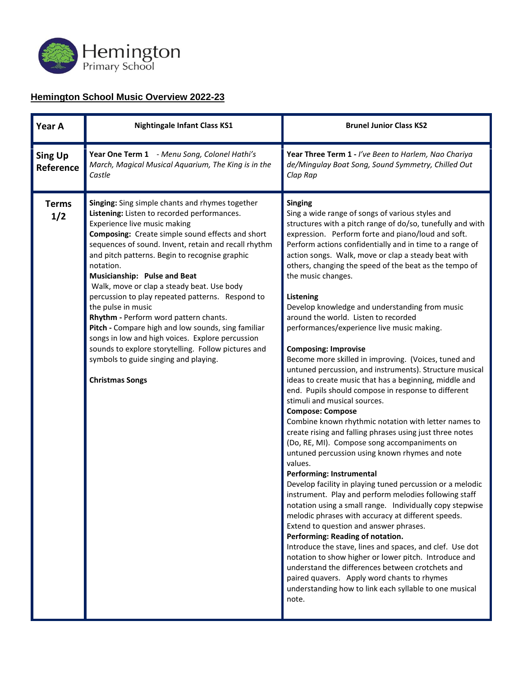

#### **Hemington School Music Overview 2022-23**

| Year A                      | <b>Nightingale Infant Class KS1</b>                                                                                                                                                                                                                                                                                                                                                                                                                                                                                                                                                                                                                                                                                                                   | <b>Brunel Junior Class KS2</b>                                                                                                                                                                                                                                                                                                                                                                                                                                                                                                                                                                                                                                                                                                                                                                                                                                                                                                                                                                                                                                                                                                                                                                                                                                                                                                                                                                                                                                                                                                                                                                                                                                                                                                                             |
|-----------------------------|-------------------------------------------------------------------------------------------------------------------------------------------------------------------------------------------------------------------------------------------------------------------------------------------------------------------------------------------------------------------------------------------------------------------------------------------------------------------------------------------------------------------------------------------------------------------------------------------------------------------------------------------------------------------------------------------------------------------------------------------------------|------------------------------------------------------------------------------------------------------------------------------------------------------------------------------------------------------------------------------------------------------------------------------------------------------------------------------------------------------------------------------------------------------------------------------------------------------------------------------------------------------------------------------------------------------------------------------------------------------------------------------------------------------------------------------------------------------------------------------------------------------------------------------------------------------------------------------------------------------------------------------------------------------------------------------------------------------------------------------------------------------------------------------------------------------------------------------------------------------------------------------------------------------------------------------------------------------------------------------------------------------------------------------------------------------------------------------------------------------------------------------------------------------------------------------------------------------------------------------------------------------------------------------------------------------------------------------------------------------------------------------------------------------------------------------------------------------------------------------------------------------------|
| <b>Sing Up</b><br>Reference | Year One Term 1 - Menu Song, Colonel Hathi's<br>March, Magical Musical Aquarium, The King is in the<br>Castle                                                                                                                                                                                                                                                                                                                                                                                                                                                                                                                                                                                                                                         | Year Three Term 1 - I've Been to Harlem, Nao Chariya<br>de/Mingulay Boat Song, Sound Symmetry, Chilled Out<br>Clap Rap                                                                                                                                                                                                                                                                                                                                                                                                                                                                                                                                                                                                                                                                                                                                                                                                                                                                                                                                                                                                                                                                                                                                                                                                                                                                                                                                                                                                                                                                                                                                                                                                                                     |
| <b>Terms</b><br>1/2         | Singing: Sing simple chants and rhymes together<br>Listening: Listen to recorded performances.<br>Experience live music making<br><b>Composing:</b> Create simple sound effects and short<br>sequences of sound. Invent, retain and recall rhythm<br>and pitch patterns. Begin to recognise graphic<br>notation.<br>Musicianship: Pulse and Beat<br>Walk, move or clap a steady beat. Use body<br>percussion to play repeated patterns. Respond to<br>the pulse in music<br>Rhythm - Perform word pattern chants.<br>Pitch - Compare high and low sounds, sing familiar<br>songs in low and high voices. Explore percussion<br>sounds to explore storytelling. Follow pictures and<br>symbols to guide singing and playing.<br><b>Christmas Songs</b> | <b>Singing</b><br>Sing a wide range of songs of various styles and<br>structures with a pitch range of do/so, tunefully and with<br>expression. Perform forte and piano/loud and soft.<br>Perform actions confidentially and in time to a range of<br>action songs. Walk, move or clap a steady beat with<br>others, changing the speed of the beat as the tempo of<br>the music changes.<br>Listening<br>Develop knowledge and understanding from music<br>around the world. Listen to recorded<br>performances/experience live music making.<br><b>Composing: Improvise</b><br>Become more skilled in improving. (Voices, tuned and<br>untuned percussion, and instruments). Structure musical<br>ideas to create music that has a beginning, middle and<br>end. Pupils should compose in response to different<br>stimuli and musical sources.<br><b>Compose: Compose</b><br>Combine known rhythmic notation with letter names to<br>create rising and falling phrases using just three notes<br>(Do, RE, MI). Compose song accompaniments on<br>untuned percussion using known rhymes and note<br>values.<br>Performing: Instrumental<br>Develop facility in playing tuned percussion or a melodic<br>instrument. Play and perform melodies following staff<br>notation using a small range. Individually copy stepwise<br>melodic phrases with accuracy at different speeds.<br>Extend to question and answer phrases.<br>Performing: Reading of notation.<br>Introduce the stave, lines and spaces, and clef. Use dot<br>notation to show higher or lower pitch. Introduce and<br>understand the differences between crotchets and<br>paired quavers. Apply word chants to rhymes<br>understanding how to link each syllable to one musical<br>note. |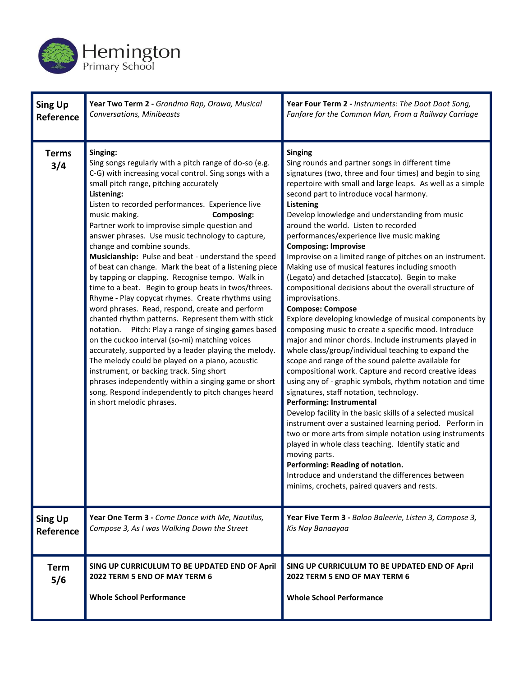

| <b>Sing Up</b>      | Year Two Term 2 - Grandma Rap, Orawa, Musical                                                                                                                                                                                                                                                                                                                                                                                                                                                                                                                                                                                                                                                                                                                                                                                                                                                                                                                                                                                                                                                                                                                                                                            | Year Four Term 2 - Instruments: The Doot Doot Song,                                                                                                                                                                                                                                                                                                                                                                                                                                                                                                                                                                                                                                                                                                                                                                                                                                                                                                                                                                                                                                                                                                                                                                                                                                                                                                                                                                                                                                                                                                                                        |
|---------------------|--------------------------------------------------------------------------------------------------------------------------------------------------------------------------------------------------------------------------------------------------------------------------------------------------------------------------------------------------------------------------------------------------------------------------------------------------------------------------------------------------------------------------------------------------------------------------------------------------------------------------------------------------------------------------------------------------------------------------------------------------------------------------------------------------------------------------------------------------------------------------------------------------------------------------------------------------------------------------------------------------------------------------------------------------------------------------------------------------------------------------------------------------------------------------------------------------------------------------|--------------------------------------------------------------------------------------------------------------------------------------------------------------------------------------------------------------------------------------------------------------------------------------------------------------------------------------------------------------------------------------------------------------------------------------------------------------------------------------------------------------------------------------------------------------------------------------------------------------------------------------------------------------------------------------------------------------------------------------------------------------------------------------------------------------------------------------------------------------------------------------------------------------------------------------------------------------------------------------------------------------------------------------------------------------------------------------------------------------------------------------------------------------------------------------------------------------------------------------------------------------------------------------------------------------------------------------------------------------------------------------------------------------------------------------------------------------------------------------------------------------------------------------------------------------------------------------------|
| Reference           | Conversations, Minibeasts                                                                                                                                                                                                                                                                                                                                                                                                                                                                                                                                                                                                                                                                                                                                                                                                                                                                                                                                                                                                                                                                                                                                                                                                | Fanfare for the Common Man, From a Railway Carriage                                                                                                                                                                                                                                                                                                                                                                                                                                                                                                                                                                                                                                                                                                                                                                                                                                                                                                                                                                                                                                                                                                                                                                                                                                                                                                                                                                                                                                                                                                                                        |
| <b>Terms</b><br>3/4 | Singing:<br>Sing songs regularly with a pitch range of do-so (e.g.<br>C-G) with increasing vocal control. Sing songs with a<br>small pitch range, pitching accurately<br>Listening:<br>Listen to recorded performances. Experience live<br>music making.<br><b>Composing:</b><br>Partner work to improvise simple question and<br>answer phrases. Use music technology to capture,<br>change and combine sounds.<br>Musicianship: Pulse and beat - understand the speed<br>of beat can change. Mark the beat of a listening piece<br>by tapping or clapping. Recognise tempo. Walk in<br>time to a beat. Begin to group beats in twos/threes.<br>Rhyme - Play copycat rhymes. Create rhythms using<br>word phrases. Read, respond, create and perform<br>chanted rhythm patterns. Represent them with stick<br>notation. Pitch: Play a range of singing games based<br>on the cuckoo interval (so-mi) matching voices<br>accurately, supported by a leader playing the melody.<br>The melody could be played on a piano, acoustic<br>instrument, or backing track. Sing short<br>phrases independently within a singing game or short<br>song. Respond independently to pitch changes heard<br>in short melodic phrases. | <b>Singing</b><br>Sing rounds and partner songs in different time<br>signatures (two, three and four times) and begin to sing<br>repertoire with small and large leaps. As well as a simple<br>second part to introduce vocal harmony.<br>Listening<br>Develop knowledge and understanding from music<br>around the world. Listen to recorded<br>performances/experience live music making<br><b>Composing: Improvise</b><br>Improvise on a limited range of pitches on an instrument.<br>Making use of musical features including smooth<br>(Legato) and detached (staccato). Begin to make<br>compositional decisions about the overall structure of<br>improvisations.<br><b>Compose: Compose</b><br>Explore developing knowledge of musical components by<br>composing music to create a specific mood. Introduce<br>major and minor chords. Include instruments played in<br>whole class/group/individual teaching to expand the<br>scope and range of the sound palette available for<br>compositional work. Capture and record creative ideas<br>using any of - graphic symbols, rhythm notation and time<br>signatures, staff notation, technology.<br>Performing: Instrumental<br>Develop facility in the basic skills of a selected musical<br>instrument over a sustained learning period. Perform in<br>two or more arts from simple notation using instruments<br>played in whole class teaching. Identify static and<br>moving parts.<br>Performing: Reading of notation.<br>Introduce and understand the differences between<br>minims, crochets, paired quavers and rests. |
| <b>Sing Up</b>      | Year One Term 3 - Come Dance with Me, Nautilus,                                                                                                                                                                                                                                                                                                                                                                                                                                                                                                                                                                                                                                                                                                                                                                                                                                                                                                                                                                                                                                                                                                                                                                          | Year Five Term 3 - Baloo Baleerie, Listen 3, Compose 3,                                                                                                                                                                                                                                                                                                                                                                                                                                                                                                                                                                                                                                                                                                                                                                                                                                                                                                                                                                                                                                                                                                                                                                                                                                                                                                                                                                                                                                                                                                                                    |
| Reference           | Compose 3, As I was Walking Down the Street                                                                                                                                                                                                                                                                                                                                                                                                                                                                                                                                                                                                                                                                                                                                                                                                                                                                                                                                                                                                                                                                                                                                                                              | Kis Nay Banaayaa                                                                                                                                                                                                                                                                                                                                                                                                                                                                                                                                                                                                                                                                                                                                                                                                                                                                                                                                                                                                                                                                                                                                                                                                                                                                                                                                                                                                                                                                                                                                                                           |
| <b>Term</b><br>5/6  | SING UP CURRICULUM TO BE UPDATED END OF April<br>2022 TERM 5 END OF MAY TERM 6<br><b>Whole School Performance</b>                                                                                                                                                                                                                                                                                                                                                                                                                                                                                                                                                                                                                                                                                                                                                                                                                                                                                                                                                                                                                                                                                                        | SING UP CURRICULUM TO BE UPDATED END OF April<br>2022 TERM 5 END OF MAY TERM 6<br><b>Whole School Performance</b>                                                                                                                                                                                                                                                                                                                                                                                                                                                                                                                                                                                                                                                                                                                                                                                                                                                                                                                                                                                                                                                                                                                                                                                                                                                                                                                                                                                                                                                                          |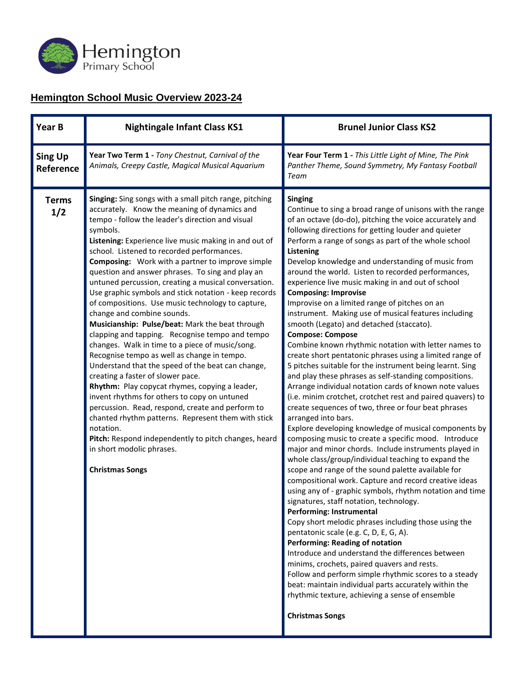

### **Hemington School Music Overview 2023-24**

| Year B                      | <b>Nightingale Infant Class KS1</b>                                                                                                                                                                                                                                                                                                                                                                                                                                                                                                                                                                                                                                                                                                                                                                                                                                                                                                                                                                                                                                                                                                                                                                                                        | <b>Brunel Junior Class KS2</b>                                                                                                                                                                                                                                                                                                                                                                                                                                                                                                                                                                                                                                                                                                                                                                                                                                                                                                                                                                                                                                                                                                                                                                                                                                                                                                                                                                                                                                                                                                                                                                                                                                                                                                                                                                                                                                                                                                                                                                                                          |
|-----------------------------|--------------------------------------------------------------------------------------------------------------------------------------------------------------------------------------------------------------------------------------------------------------------------------------------------------------------------------------------------------------------------------------------------------------------------------------------------------------------------------------------------------------------------------------------------------------------------------------------------------------------------------------------------------------------------------------------------------------------------------------------------------------------------------------------------------------------------------------------------------------------------------------------------------------------------------------------------------------------------------------------------------------------------------------------------------------------------------------------------------------------------------------------------------------------------------------------------------------------------------------------|-----------------------------------------------------------------------------------------------------------------------------------------------------------------------------------------------------------------------------------------------------------------------------------------------------------------------------------------------------------------------------------------------------------------------------------------------------------------------------------------------------------------------------------------------------------------------------------------------------------------------------------------------------------------------------------------------------------------------------------------------------------------------------------------------------------------------------------------------------------------------------------------------------------------------------------------------------------------------------------------------------------------------------------------------------------------------------------------------------------------------------------------------------------------------------------------------------------------------------------------------------------------------------------------------------------------------------------------------------------------------------------------------------------------------------------------------------------------------------------------------------------------------------------------------------------------------------------------------------------------------------------------------------------------------------------------------------------------------------------------------------------------------------------------------------------------------------------------------------------------------------------------------------------------------------------------------------------------------------------------------------------------------------------------|
| <b>Sing Up</b><br>Reference | Year Two Term 1 - Tony Chestnut, Carnival of the<br>Animals, Creepy Castle, Magical Musical Aquarium                                                                                                                                                                                                                                                                                                                                                                                                                                                                                                                                                                                                                                                                                                                                                                                                                                                                                                                                                                                                                                                                                                                                       | Year Four Term 1 - This Little Light of Mine, The Pink<br>Panther Theme, Sound Symmetry, My Fantasy Football<br>Team                                                                                                                                                                                                                                                                                                                                                                                                                                                                                                                                                                                                                                                                                                                                                                                                                                                                                                                                                                                                                                                                                                                                                                                                                                                                                                                                                                                                                                                                                                                                                                                                                                                                                                                                                                                                                                                                                                                    |
| <b>Terms</b><br>1/2         | Singing: Sing songs with a small pitch range, pitching<br>accurately. Know the meaning of dynamics and<br>tempo - follow the leader's direction and visual<br>symbols.<br>Listening: Experience live music making in and out of<br>school. Listened to recorded performances.<br><b>Composing:</b> Work with a partner to improve simple<br>question and answer phrases. To sing and play an<br>untuned percussion, creating a musical conversation.<br>Use graphic symbols and stick notation - keep records<br>of compositions. Use music technology to capture,<br>change and combine sounds.<br>Musicianship: Pulse/beat: Mark the beat through<br>clapping and tapping. Recognise tempo and tempo<br>changes. Walk in time to a piece of music/song.<br>Recognise tempo as well as change in tempo.<br>Understand that the speed of the beat can change,<br>creating a faster of slower pace.<br>Rhythm: Play copycat rhymes, copying a leader,<br>invent rhythms for others to copy on untuned<br>percussion. Read, respond, create and perform to<br>chanted rhythm patterns. Represent them with stick<br>notation.<br>Pitch: Respond independently to pitch changes, heard<br>in short modolic phrases.<br><b>Christmas Songs</b> | <b>Singing</b><br>Continue to sing a broad range of unisons with the range<br>of an octave (do-do), pitching the voice accurately and<br>following directions for getting louder and quieter<br>Perform a range of songs as part of the whole school<br><b>Listening</b><br>Develop knowledge and understanding of music from<br>around the world. Listen to recorded performances,<br>experience live music making in and out of school<br><b>Composing: Improvise</b><br>Improvise on a limited range of pitches on an<br>instrument. Making use of musical features including<br>smooth (Legato) and detached (staccato).<br><b>Compose: Compose</b><br>Combine known rhythmic notation with letter names to<br>create short pentatonic phrases using a limited range of<br>5 pitches suitable for the instrument being learnt. Sing<br>and play these phrases as self-standing compositions.<br>Arrange individual notation cards of known note values<br>(i.e. minim crotchet, crotchet rest and paired quavers) to<br>create sequences of two, three or four beat phrases<br>arranged into bars.<br>Explore developing knowledge of musical components by<br>composing music to create a specific mood. Introduce<br>major and minor chords. Include instruments played in<br>whole class/group/individual teaching to expand the<br>scope and range of the sound palette available for<br>compositional work. Capture and record creative ideas<br>using any of - graphic symbols, rhythm notation and time<br>signatures, staff notation, technology.<br>Performing: Instrumental<br>Copy short melodic phrases including those using the<br>pentatonic scale (e.g. C, D, E, G, A).<br><b>Performing: Reading of notation</b><br>Introduce and understand the differences between<br>minims, crochets, paired quavers and rests.<br>Follow and perform simple rhythmic scores to a steady<br>beat: maintain individual parts accurately within the<br>rhythmic texture, achieving a sense of ensemble<br><b>Christmas Songs</b> |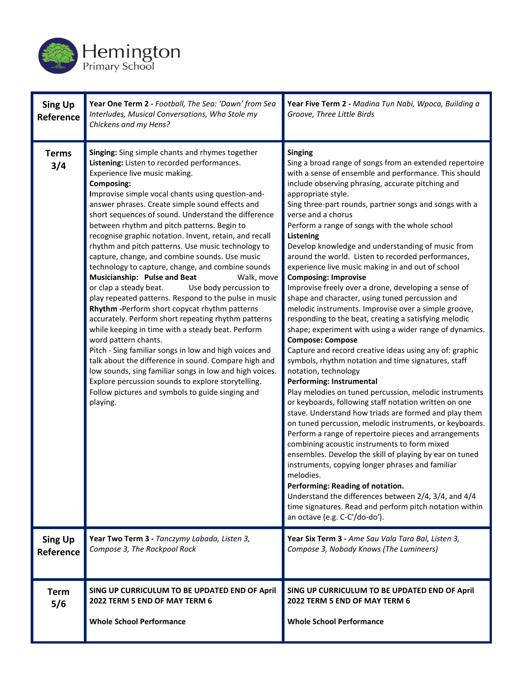

| <b>Sing Up</b><br>Reference | Year One Term 2 - Football, The Sea: 'Dawn' from Sea<br>Interludes, Musical Conversations, Who Stole my<br>Chickens and my Hens?                                                                                                                                                                                                                                                                                                                                                                                                                                                                                                                                                                                                                                                                                                                                                                                                                                                                                                                                                                                                                                                                                                              | Year Five Term 2 - Madina Tun Nabi, Wpoca, Building a<br>Groove, Three Little Birds                                                                                                                                                                                                                                                                                                                                                                                                                                                                                                                                                                                                                                                                                                                                                                                                                                                                                                                                                                                                                                                                                                                                                                                                                                                                                                                                                                                                                                                                                                                                                                                                                                     |
|-----------------------------|-----------------------------------------------------------------------------------------------------------------------------------------------------------------------------------------------------------------------------------------------------------------------------------------------------------------------------------------------------------------------------------------------------------------------------------------------------------------------------------------------------------------------------------------------------------------------------------------------------------------------------------------------------------------------------------------------------------------------------------------------------------------------------------------------------------------------------------------------------------------------------------------------------------------------------------------------------------------------------------------------------------------------------------------------------------------------------------------------------------------------------------------------------------------------------------------------------------------------------------------------|-------------------------------------------------------------------------------------------------------------------------------------------------------------------------------------------------------------------------------------------------------------------------------------------------------------------------------------------------------------------------------------------------------------------------------------------------------------------------------------------------------------------------------------------------------------------------------------------------------------------------------------------------------------------------------------------------------------------------------------------------------------------------------------------------------------------------------------------------------------------------------------------------------------------------------------------------------------------------------------------------------------------------------------------------------------------------------------------------------------------------------------------------------------------------------------------------------------------------------------------------------------------------------------------------------------------------------------------------------------------------------------------------------------------------------------------------------------------------------------------------------------------------------------------------------------------------------------------------------------------------------------------------------------------------------------------------------------------------|
| <b>Terms</b><br>3/4         | Singing: Sing simple chants and rhymes together<br>Listening: Listen to recorded performances.<br>Experience live music making.<br><b>Composing:</b><br>Improvise simple vocal chants using question-and-<br>answer phrases. Create simple sound effects and<br>short sequences of sound. Understand the difference<br>between rhythm and pitch patterns. Begin to<br>recognise graphic notation. Invent, retain, and recall<br>rhythm and pitch patterns. Use music technology to<br>capture, change, and combine sounds. Use music<br>technology to capture, change, and combine sounds<br>Musicianship: Pulse and Beat<br>Walk, move<br>or clap a steady beat.<br>Use body percussion to<br>play repeated patterns. Respond to the pulse in music<br>Rhythm - Perform short copycat rhythm patterns<br>accurately. Perform short repeating rhythm patterns<br>while keeping in time with a steady beat. Perform<br>word pattern chants.<br>Pitch - Sing familiar songs in low and high voices and<br>talk about the difference in sound. Compare high and<br>low sounds, sing familiar songs in low and high voices.<br>Explore percussion sounds to explore storytelling.<br>Follow pictures and symbols to guide singing and<br>playing. | <b>Singing</b><br>Sing a broad range of songs from an extended repertoire<br>with a sense of ensemble and performance. This should<br>include observing phrasing, accurate pitching and<br>appropriate style.<br>Sing three-part rounds, partner songs and songs with a<br>verse and a chorus<br>Perform a range of songs with the whole school<br>Listening<br>Develop knowledge and understanding of music from<br>around the world. Listen to recorded performances,<br>experience live music making in and out of school<br><b>Composing: Improvise</b><br>Improvise freely over a drone, developing a sense of<br>shape and character, using tuned percussion and<br>melodic instruments. Improvise over a simple groove,<br>responding to the beat, creating a satisfying melodic<br>shape; experiment with using a wider range of dynamics.<br><b>Compose: Compose</b><br>Capture and record creative ideas using any of: graphic<br>symbols, rhythm notation and time signatures, staff<br>notation, technology<br>Performing: Instrumental<br>Play melodies on tuned percussion, melodic instruments<br>or keyboards, following staff notation written on one<br>stave. Understand how triads are formed and play them<br>on tuned percussion, melodic instruments, or keyboards.<br>Perform a range of repertoire pieces and arrangements<br>combining acoustic instruments to form mixed<br>ensembles. Develop the skill of playing by ear on tuned<br>instruments, copying longer phrases and familiar<br>melodies.<br>Performing: Reading of notation.<br>Understand the differences between 2/4, 3/4, and 4/4<br>time signatures. Read and perform pitch notation within<br>an octave (e.g. C-C'/do-do'). |
| <b>Sing Up</b><br>Reference | Year Two Term 3 - Tanczymy Labada, Listen 3,<br>Compose 3, The Rockpool Rock                                                                                                                                                                                                                                                                                                                                                                                                                                                                                                                                                                                                                                                                                                                                                                                                                                                                                                                                                                                                                                                                                                                                                                  | Year Six Term 3 - Ame Sau Vala Tara Bal, Listen 3,<br>Compose 3, Nobody Knows (The Lumineers)                                                                                                                                                                                                                                                                                                                                                                                                                                                                                                                                                                                                                                                                                                                                                                                                                                                                                                                                                                                                                                                                                                                                                                                                                                                                                                                                                                                                                                                                                                                                                                                                                           |
| <b>Term</b><br>5/6          | SING UP CURRICULUM TO BE UPDATED END OF April<br>2022 TERM 5 END OF MAY TERM 6<br><b>Whole School Performance</b>                                                                                                                                                                                                                                                                                                                                                                                                                                                                                                                                                                                                                                                                                                                                                                                                                                                                                                                                                                                                                                                                                                                             | SING UP CURRICULUM TO BE UPDATED END OF April<br>2022 TERM 5 END OF MAY TERM 6<br><b>Whole School Performance</b>                                                                                                                                                                                                                                                                                                                                                                                                                                                                                                                                                                                                                                                                                                                                                                                                                                                                                                                                                                                                                                                                                                                                                                                                                                                                                                                                                                                                                                                                                                                                                                                                       |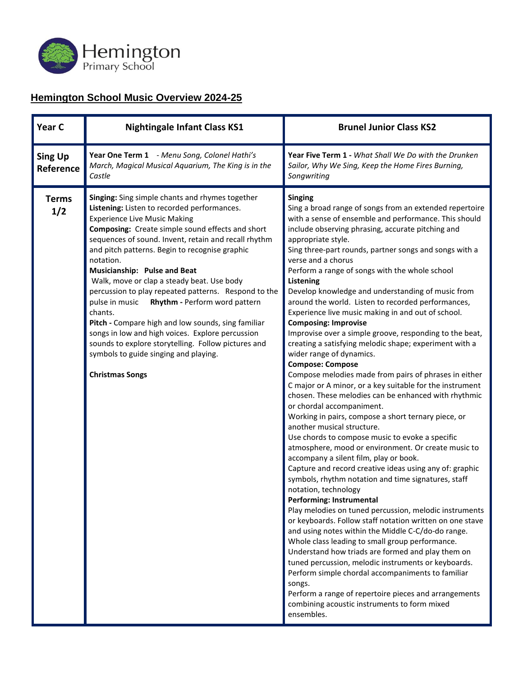

### **Hemington School Music Overview 2024-25**

| Year C                      | <b>Nightingale Infant Class KS1</b>                                                                                                                                                                                                                                                                                                                                                                                                                                                                                                                                                                                                                                                                                                                      | <b>Brunel Junior Class KS2</b>                                                                                                                                                                                                                                                                                                                                                                                                                                                                                                                                                                                                                                                                                                                                                                                                                                                                                                                                                                                                                                                                                                                                                                                                                                                                                                                                                                                                                                                                                                                                                                                                                                                                                                                                                                                                                                                                            |
|-----------------------------|----------------------------------------------------------------------------------------------------------------------------------------------------------------------------------------------------------------------------------------------------------------------------------------------------------------------------------------------------------------------------------------------------------------------------------------------------------------------------------------------------------------------------------------------------------------------------------------------------------------------------------------------------------------------------------------------------------------------------------------------------------|-----------------------------------------------------------------------------------------------------------------------------------------------------------------------------------------------------------------------------------------------------------------------------------------------------------------------------------------------------------------------------------------------------------------------------------------------------------------------------------------------------------------------------------------------------------------------------------------------------------------------------------------------------------------------------------------------------------------------------------------------------------------------------------------------------------------------------------------------------------------------------------------------------------------------------------------------------------------------------------------------------------------------------------------------------------------------------------------------------------------------------------------------------------------------------------------------------------------------------------------------------------------------------------------------------------------------------------------------------------------------------------------------------------------------------------------------------------------------------------------------------------------------------------------------------------------------------------------------------------------------------------------------------------------------------------------------------------------------------------------------------------------------------------------------------------------------------------------------------------------------------------------------------------|
| <b>Sing Up</b><br>Reference | Year One Term 1 - Menu Song, Colonel Hathi's<br>March, Magical Musical Aquarium, The King is in the<br>Castle                                                                                                                                                                                                                                                                                                                                                                                                                                                                                                                                                                                                                                            | <b>Year Five Term 1 - What Shall We Do with the Drunken</b><br>Sailor, Why We Sing, Keep the Home Fires Burning,<br>Songwriting                                                                                                                                                                                                                                                                                                                                                                                                                                                                                                                                                                                                                                                                                                                                                                                                                                                                                                                                                                                                                                                                                                                                                                                                                                                                                                                                                                                                                                                                                                                                                                                                                                                                                                                                                                           |
| <b>Terms</b><br>1/2         | Singing: Sing simple chants and rhymes together<br>Listening: Listen to recorded performances.<br><b>Experience Live Music Making</b><br>Composing: Create simple sound effects and short<br>sequences of sound. Invent, retain and recall rhythm<br>and pitch patterns. Begin to recognise graphic<br>notation.<br>Musicianship: Pulse and Beat<br>Walk, move or clap a steady beat. Use body<br>percussion to play repeated patterns. Respond to the<br>Rhythm - Perform word pattern<br>pulse in music<br>chants.<br>Pitch - Compare high and low sounds, sing familiar<br>songs in low and high voices. Explore percussion<br>sounds to explore storytelling. Follow pictures and<br>symbols to guide singing and playing.<br><b>Christmas Songs</b> | <b>Singing</b><br>Sing a broad range of songs from an extended repertoire<br>with a sense of ensemble and performance. This should<br>include observing phrasing, accurate pitching and<br>appropriate style.<br>Sing three-part rounds, partner songs and songs with a<br>verse and a chorus<br>Perform a range of songs with the whole school<br><b>Listening</b><br>Develop knowledge and understanding of music from<br>around the world. Listen to recorded performances,<br>Experience live music making in and out of school.<br><b>Composing: Improvise</b><br>Improvise over a simple groove, responding to the beat,<br>creating a satisfying melodic shape; experiment with a<br>wider range of dynamics.<br><b>Compose: Compose</b><br>Compose melodies made from pairs of phrases in either<br>C major or A minor, or a key suitable for the instrument<br>chosen. These melodies can be enhanced with rhythmic<br>or chordal accompaniment.<br>Working in pairs, compose a short ternary piece, or<br>another musical structure.<br>Use chords to compose music to evoke a specific<br>atmosphere, mood or environment. Or create music to<br>accompany a silent film, play or book.<br>Capture and record creative ideas using any of: graphic<br>symbols, rhythm notation and time signatures, staff<br>notation, technology<br>Performing: Instrumental<br>Play melodies on tuned percussion, melodic instruments<br>or keyboards. Follow staff notation written on one stave<br>and using notes within the Middle C-C/do-do range.<br>Whole class leading to small group performance.<br>Understand how triads are formed and play them on<br>tuned percussion, melodic instruments or keyboards.<br>Perform simple chordal accompaniments to familiar<br>songs.<br>Perform a range of repertoire pieces and arrangements<br>combining acoustic instruments to form mixed<br>ensembles. |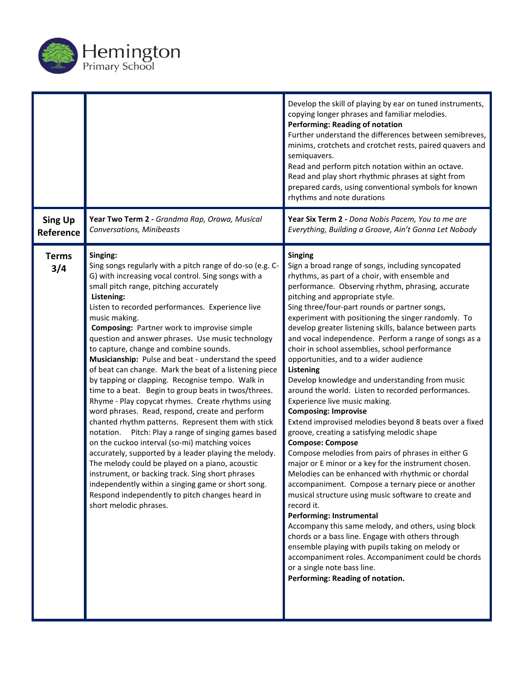

|                             |                                                                                                                                                                                                                                                                                                                                                                                                                                                                                                                                                                                                                                                                                                                                                                                                                                                                                                                                                                                                                                                                                                                                                                                                                        | Develop the skill of playing by ear on tuned instruments,<br>copying longer phrases and familiar melodies.<br><b>Performing: Reading of notation</b><br>Further understand the differences between semibreves,<br>minims, crotchets and crotchet rests, paired quavers and<br>semiquavers.<br>Read and perform pitch notation within an octave.<br>Read and play short rhythmic phrases at sight from<br>prepared cards, using conventional symbols for known<br>rhythms and note durations                                                                                                                                                                                                                                                                                                                                                                                                                                                                                                                                                                                                                                                                                                                                                                                                                                                                                                                                                                                       |
|-----------------------------|------------------------------------------------------------------------------------------------------------------------------------------------------------------------------------------------------------------------------------------------------------------------------------------------------------------------------------------------------------------------------------------------------------------------------------------------------------------------------------------------------------------------------------------------------------------------------------------------------------------------------------------------------------------------------------------------------------------------------------------------------------------------------------------------------------------------------------------------------------------------------------------------------------------------------------------------------------------------------------------------------------------------------------------------------------------------------------------------------------------------------------------------------------------------------------------------------------------------|-----------------------------------------------------------------------------------------------------------------------------------------------------------------------------------------------------------------------------------------------------------------------------------------------------------------------------------------------------------------------------------------------------------------------------------------------------------------------------------------------------------------------------------------------------------------------------------------------------------------------------------------------------------------------------------------------------------------------------------------------------------------------------------------------------------------------------------------------------------------------------------------------------------------------------------------------------------------------------------------------------------------------------------------------------------------------------------------------------------------------------------------------------------------------------------------------------------------------------------------------------------------------------------------------------------------------------------------------------------------------------------------------------------------------------------------------------------------------------------|
| <b>Sing Up</b><br>Reference | Year Two Term 2 - Grandma Rap, Orawa, Musical<br>Conversations, Minibeasts                                                                                                                                                                                                                                                                                                                                                                                                                                                                                                                                                                                                                                                                                                                                                                                                                                                                                                                                                                                                                                                                                                                                             | Year Six Term 2 - Dona Nobis Pacem, You to me are<br>Everything, Building a Groove, Ain't Gonna Let Nobody                                                                                                                                                                                                                                                                                                                                                                                                                                                                                                                                                                                                                                                                                                                                                                                                                                                                                                                                                                                                                                                                                                                                                                                                                                                                                                                                                                        |
| <b>Terms</b><br>3/4         | Singing:<br>Sing songs regularly with a pitch range of do-so (e.g. C-<br>G) with increasing vocal control. Sing songs with a<br>small pitch range, pitching accurately<br>Listening:<br>Listen to recorded performances. Experience live<br>music making.<br><b>Composing: Partner work to improvise simple</b><br>question and answer phrases. Use music technology<br>to capture, change and combine sounds.<br>Musicianship: Pulse and beat - understand the speed<br>of beat can change. Mark the beat of a listening piece<br>by tapping or clapping. Recognise tempo. Walk in<br>time to a beat. Begin to group beats in twos/threes.<br>Rhyme - Play copycat rhymes. Create rhythms using<br>word phrases. Read, respond, create and perform<br>chanted rhythm patterns. Represent them with stick<br>notation. Pitch: Play a range of singing games based<br>on the cuckoo interval (so-mi) matching voices<br>accurately, supported by a leader playing the melody.<br>The melody could be played on a piano, acoustic<br>instrument, or backing track. Sing short phrases<br>independently within a singing game or short song.<br>Respond independently to pitch changes heard in<br>short melodic phrases. | <b>Singing</b><br>Sign a broad range of songs, including syncopated<br>rhythms, as part of a choir, with ensemble and<br>performance. Observing rhythm, phrasing, accurate<br>pitching and appropriate style.<br>Sing three/four-part rounds or partner songs,<br>experiment with positioning the singer randomly. To<br>develop greater listening skills, balance between parts<br>and vocal independence. Perform a range of songs as a<br>choir in school assemblies, school performance<br>opportunities, and to a wider audience<br>Listening<br>Develop knowledge and understanding from music<br>around the world. Listen to recorded performances.<br>Experience live music making.<br><b>Composing: Improvise</b><br>Extend improvised melodies beyond 8 beats over a fixed<br>groove, creating a satisfying melodic shape<br><b>Compose: Compose</b><br>Compose melodies from pairs of phrases in either G<br>major or E minor or a key for the instrument chosen.<br>Melodies can be enhanced with rhythmic or chordal<br>accompaniment. Compose a ternary piece or another<br>musical structure using music software to create and<br>record it.<br>Performing: Instrumental<br>Accompany this same melody, and others, using block<br>chords or a bass line. Engage with others through<br>ensemble playing with pupils taking on melody or<br>accompaniment roles. Accompaniment could be chords<br>or a single note bass line.<br>Performing: Reading of notation. |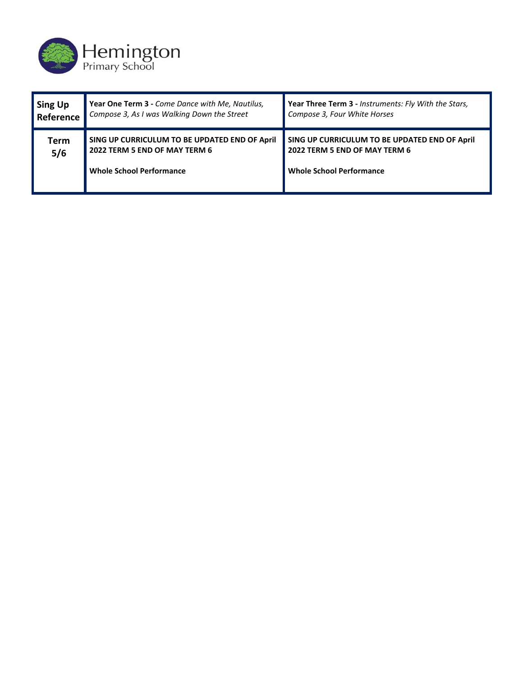

| Sing Up     | Year One Term 3 - Come Dance with Me, Nautilus,                                                                   | Year Three Term 3 - Instruments: Fly With the Stars,                                                              |
|-------------|-------------------------------------------------------------------------------------------------------------------|-------------------------------------------------------------------------------------------------------------------|
| Reference   | Compose 3, As I was Walking Down the Street                                                                       | Compose 3, Four White Horses                                                                                      |
| Term<br>5/6 | SING UP CURRICULUM TO BE UPDATED END OF April<br>2022 TERM 5 END OF MAY TERM 6<br><b>Whole School Performance</b> | SING UP CURRICULUM TO BE UPDATED END OF April<br>2022 TERM 5 END OF MAY TERM 6<br><b>Whole School Performance</b> |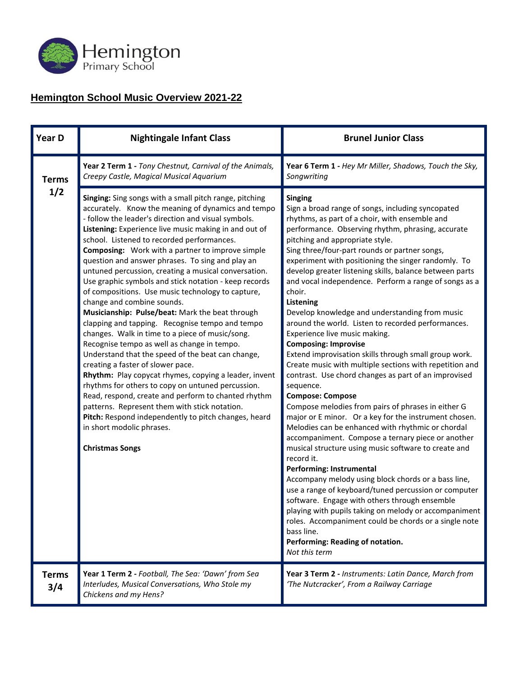

## **Hemington School Music Overview 2021-22**

| Year D              | <b>Nightingale Infant Class</b>                                                                                                                                                                                                                                                                                                                                                                                                                                                                                                                                                                                                                                                                                                                                                                                                                                                                                                                                                                                                                                                                                                                                                                                                      | <b>Brunel Junior Class</b>                                                                                                                                                                                                                                                                                                                                                                                                                                                                                                                                                                                                                                                                                                                                                                                                                                                                                                                                                                                                                                                                                                                                                                                                                                                                                                                                                                                                                                                                                                                                 |
|---------------------|--------------------------------------------------------------------------------------------------------------------------------------------------------------------------------------------------------------------------------------------------------------------------------------------------------------------------------------------------------------------------------------------------------------------------------------------------------------------------------------------------------------------------------------------------------------------------------------------------------------------------------------------------------------------------------------------------------------------------------------------------------------------------------------------------------------------------------------------------------------------------------------------------------------------------------------------------------------------------------------------------------------------------------------------------------------------------------------------------------------------------------------------------------------------------------------------------------------------------------------|------------------------------------------------------------------------------------------------------------------------------------------------------------------------------------------------------------------------------------------------------------------------------------------------------------------------------------------------------------------------------------------------------------------------------------------------------------------------------------------------------------------------------------------------------------------------------------------------------------------------------------------------------------------------------------------------------------------------------------------------------------------------------------------------------------------------------------------------------------------------------------------------------------------------------------------------------------------------------------------------------------------------------------------------------------------------------------------------------------------------------------------------------------------------------------------------------------------------------------------------------------------------------------------------------------------------------------------------------------------------------------------------------------------------------------------------------------------------------------------------------------------------------------------------------------|
| <b>Terms</b>        | Year 2 Term 1 - Tony Chestnut, Carnival of the Animals,<br>Creepy Castle, Magical Musical Aquarium                                                                                                                                                                                                                                                                                                                                                                                                                                                                                                                                                                                                                                                                                                                                                                                                                                                                                                                                                                                                                                                                                                                                   | Year 6 Term 1 - Hey Mr Miller, Shadows, Touch the Sky,<br>Songwriting                                                                                                                                                                                                                                                                                                                                                                                                                                                                                                                                                                                                                                                                                                                                                                                                                                                                                                                                                                                                                                                                                                                                                                                                                                                                                                                                                                                                                                                                                      |
| 1/2                 | Singing: Sing songs with a small pitch range, pitching<br>accurately. Know the meaning of dynamics and tempo<br>- follow the leader's direction and visual symbols.<br>Listening: Experience live music making in and out of<br>school. Listened to recorded performances.<br><b>Composing:</b> Work with a partner to improve simple<br>question and answer phrases. To sing and play an<br>untuned percussion, creating a musical conversation.<br>Use graphic symbols and stick notation - keep records<br>of compositions. Use music technology to capture,<br>change and combine sounds.<br>Musicianship: Pulse/beat: Mark the beat through<br>clapping and tapping. Recognise tempo and tempo<br>changes. Walk in time to a piece of music/song.<br>Recognise tempo as well as change in tempo.<br>Understand that the speed of the beat can change,<br>creating a faster of slower pace.<br>Rhythm: Play copycat rhymes, copying a leader, invent<br>rhythms for others to copy on untuned percussion.<br>Read, respond, create and perform to chanted rhythm<br>patterns. Represent them with stick notation.<br>Pitch: Respond independently to pitch changes, heard<br>in short modolic phrases.<br><b>Christmas Songs</b> | <b>Singing</b><br>Sign a broad range of songs, including syncopated<br>rhythms, as part of a choir, with ensemble and<br>performance. Observing rhythm, phrasing, accurate<br>pitching and appropriate style.<br>Sing three/four-part rounds or partner songs,<br>experiment with positioning the singer randomly. To<br>develop greater listening skills, balance between parts<br>and vocal independence. Perform a range of songs as a<br>choir.<br><b>Listening</b><br>Develop knowledge and understanding from music<br>around the world. Listen to recorded performances.<br>Experience live music making.<br><b>Composing: Improvise</b><br>Extend improvisation skills through small group work.<br>Create music with multiple sections with repetition and<br>contrast. Use chord changes as part of an improvised<br>sequence.<br><b>Compose: Compose</b><br>Compose melodies from pairs of phrases in either G<br>major or E minor. Or a key for the instrument chosen.<br>Melodies can be enhanced with rhythmic or chordal<br>accompaniment. Compose a ternary piece or another<br>musical structure using music software to create and<br>record it.<br><b>Performing: Instrumental</b><br>Accompany melody using block chords or a bass line,<br>use a range of keyboard/tuned percussion or computer<br>software. Engage with others through ensemble<br>playing with pupils taking on melody or accompaniment<br>roles. Accompaniment could be chords or a single note<br>bass line.<br>Performing: Reading of notation.<br>Not this term |
| <b>Terms</b><br>3/4 | Year 1 Term 2 - Football, The Sea: 'Dawn' from Sea<br>Interludes, Musical Conversations, Who Stole my<br>Chickens and my Hens?                                                                                                                                                                                                                                                                                                                                                                                                                                                                                                                                                                                                                                                                                                                                                                                                                                                                                                                                                                                                                                                                                                       | Year 3 Term 2 - Instruments: Latin Dance, March from<br>'The Nutcracker', From a Railway Carriage                                                                                                                                                                                                                                                                                                                                                                                                                                                                                                                                                                                                                                                                                                                                                                                                                                                                                                                                                                                                                                                                                                                                                                                                                                                                                                                                                                                                                                                          |